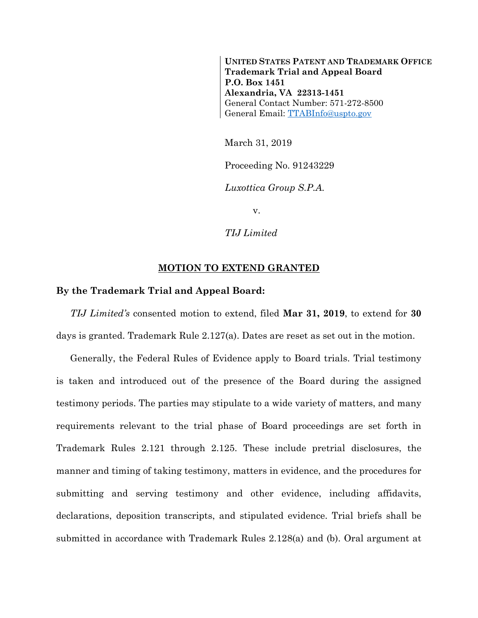**UNITED STATES PATENT AND TRADEMARK OFFICE Trademark Trial and Appeal Board P.O. Box 1451 Alexandria, VA 22313-1451** General Contact Number: 571-272-8500 General Email: [TTABInfo@uspto.gov](mailto:TTABInfo@uspto.gov)

March 31, 2019

Proceeding No. 91243229

*Luxottica Group S.P.A.*

v.

*TIJ Limited*

## **MOTION TO EXTEND GRANTED**

## **By the Trademark Trial and Appeal Board:**

*TIJ Limited's* consented motion to extend, filed **Mar 31, 2019**, to extend for **30** days is granted. Trademark Rule 2.127(a). Dates are reset as set out in the motion.

Generally, the Federal Rules of Evidence apply to Board trials. Trial testimony is taken and introduced out of the presence of the Board during the assigned testimony periods. The parties may stipulate to a wide variety of matters, and many requirements relevant to the trial phase of Board proceedings are set forth in Trademark Rules 2.121 through 2.125. These include pretrial disclosures, the manner and timing of taking testimony, matters in evidence, and the procedures for submitting and serving testimony and other evidence, including affidavits, declarations, deposition transcripts, and stipulated evidence. Trial briefs shall be submitted in accordance with Trademark Rules 2.128(a) and (b). Oral argument at